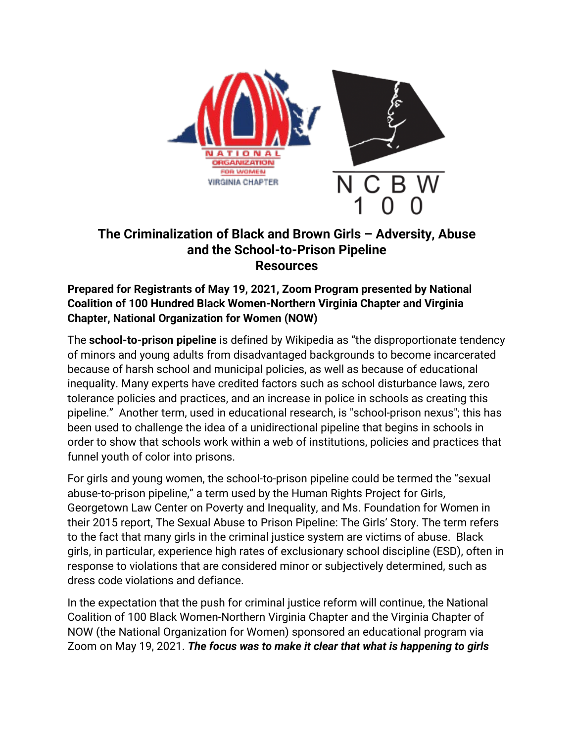

# **The Criminalization of Black and Brown Girls – Adversity, Abuse and the School-to-Prison Pipeline Resources**

**Prepared for Registrants of May 19, 2021, Zoom Program presented by National Coalition of 100 Hundred Black Women-Northern Virginia Chapter and Virginia Chapter, National Organization for Women (NOW)** 

The **school-to-prison pipeline** is defined by Wikipedia as "the disproportionate tendency of minors and young adults from disadvantaged backgrounds to become incarcerated because of harsh school and municipal policies, as well as because of educational inequality. Many experts have credited factors such as school disturbance laws, zero tolerance policies and practices, and an increase in police in schools as creating this pipeline." Another term, used in educational research, is "school-prison nexus"; this has been used to challenge the idea of a unidirectional pipeline that begins in schools in order to show that schools work within a web of institutions, policies and practices that funnel youth of color into prisons.

For girls and young women, the school-to-prison pipeline could be termed the "sexual abuse-to-prison pipeline," a term used by the Human Rights Project for Girls, Georgetown Law Center on Poverty and Inequality, and Ms. Foundation for Women in their 2015 report, The Sexual Abuse to Prison Pipeline: The Girls' Story. The term refers to the fact that many girls in the criminal justice system are victims of abuse. Black girls, in particular, experience high rates of exclusionary school discipline (ESD), often in response to violations that are considered minor or subjectively determined, such as dress code violations and defiance.

In the expectation that the push for criminal justice reform will continue, the National Coalition of 100 Black Women-Northern Virginia Chapter and the Virginia Chapter of NOW (the National Organization for Women) sponsored an educational program via Zoom on May 19, 2021. *The focus was to make it clear that what is happening to girls*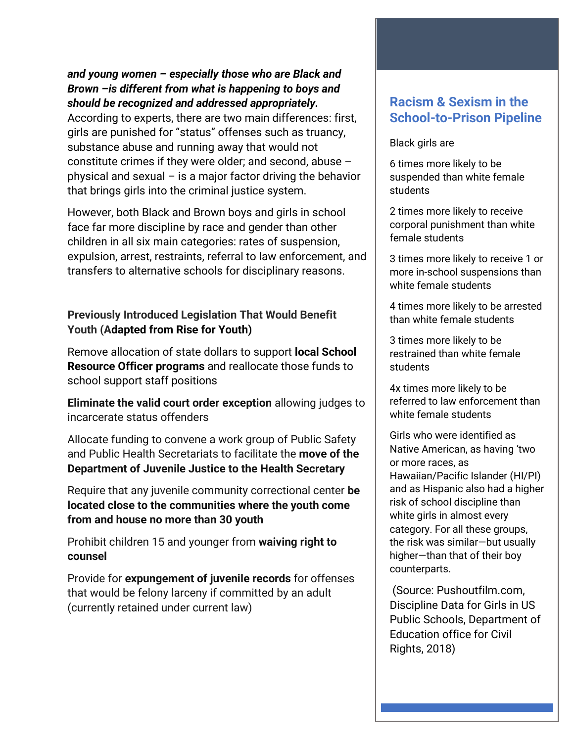## *and young women – especially those who are Black and Brown –is different from what is happening to boys and should be recognized and addressed appropriately.*

According to experts, there are two main differences: first, girls are punished for "status" offenses such as truancy, substance abuse and running away that would not constitute crimes if they were older; and second, abuse – physical and sexual – is a major factor driving the behavior that brings girls into the criminal justice system.

However, both Black and Brown boys and girls in school face far more discipline by race and gender than other children in all six main categories: rates of suspension, expulsion, arrest, restraints, referral to law enforcement, and transfers to alternative schools for disciplinary reasons.

## **Previously Introduced Legislation That Would Benefit Youth (Adapted from Rise for Youth)**

Remove allocation of state dollars to support **local School Resource Officer programs** and reallocate those funds to school support staff positions

**Eliminate the valid court order exception** allowing judges to incarcerate status offenders

Allocate funding to convene a work group of Public Safety and Public Health Secretariats to facilitate the **move of the Department of Juvenile Justice to the Health Secretary**

Require that any juvenile community correctional center **be located close to the communities where the youth come from and house no more than 30 youth**

Prohibit children 15 and younger from **waiving right to counsel**

Provide for **expungement of juvenile records** for offenses that would be felony larceny if committed by an adult (currently retained under current law)

# **Racism & Sexism in the School-to-Prison Pipeline**

#### Black girls are

6 times more likely to be suspended than white female students

2 times more likely to receive corporal punishment than white female students

3 times more likely to receive 1 or more in-school suspensions than white female students

4 times more likely to be arrested than white female students

3 times more likely to be restrained than white female students

4x times more likely to be referred to law enforcement than white female students

Girls who were identified as Native American, as having 'two or more races, as Hawaiian/Pacific Islander (HI/PI) and as Hispanic also had a higher risk of school discipline than white girls in almost every category. For all these groups, the risk was similar—but usually higher—than that of their boy counterparts.

(Source: Pushoutfilm.com, Discipline Data for Girls in US Public Schools, Department of Education office for Civil Rights, 2018)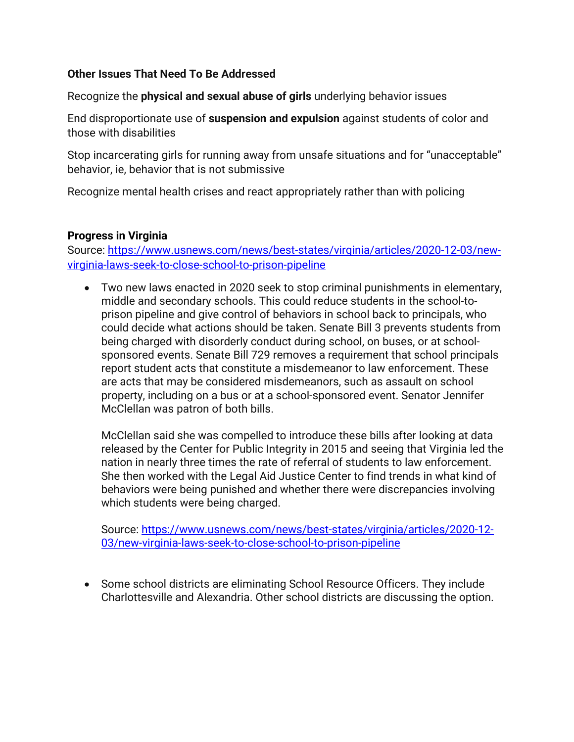## **Other Issues That Need To Be Addressed**

Recognize the **physical and sexual abuse of girls** underlying behavior issues

End disproportionate use of **suspension and expulsion** against students of color and those with disabilities

Stop incarcerating girls for running away from unsafe situations and for "unacceptable" behavior, ie, behavior that is not submissive

Recognize mental health crises and react appropriately rather than with policing

### **Progress in Virginia**

Source: [https://www.usnews.com/news/best-states/virginia/articles/2020-12-03/new](https://www.usnews.com/news/best-states/virginia/articles/2020-12-03/new-virginia-laws-seek-to-close-school-to-prison-pipeline)[virginia-laws-seek-to-close-school-to-prison-pipeline](https://www.usnews.com/news/best-states/virginia/articles/2020-12-03/new-virginia-laws-seek-to-close-school-to-prison-pipeline)

• Two new laws enacted in 2020 seek to stop criminal punishments in elementary, middle and secondary schools. This could reduce students in the school-toprison pipeline and give control of behaviors in school back to principals, who could decide what actions should be taken. Senate Bill 3 prevents students from being charged with disorderly conduct during school, on buses, or at schoolsponsored events. Senate Bill 729 removes a requirement that school principals report student acts that constitute a misdemeanor to law enforcement. These are acts that may be considered misdemeanors, such as assault on school property, including on a bus or at a school-sponsored event. Senator Jennifer McClellan was patron of both bills.

McClellan said she was compelled to introduce these bills after looking at data released by the Center for Public Integrity in 2015 and seeing that Virginia led the nation in nearly three times the rate of referral of students to law enforcement. She then worked with the Legal Aid Justice Center to find trends in what kind of behaviors were being punished and whether there were discrepancies involving which students were being charged.

Source: [https://www.usnews.com/news/best-states/virginia/articles/2020-12-](https://www.usnews.com/news/best-states/virginia/articles/2020-12-03/new-virginia-laws-seek-to-close-school-to-prison-pipeline) [03/new-virginia-laws-seek-to-close-school-to-prison-pipeline](https://www.usnews.com/news/best-states/virginia/articles/2020-12-03/new-virginia-laws-seek-to-close-school-to-prison-pipeline)

• Some school districts are eliminating School Resource Officers. They include Charlottesville and Alexandria. Other school districts are discussing the option.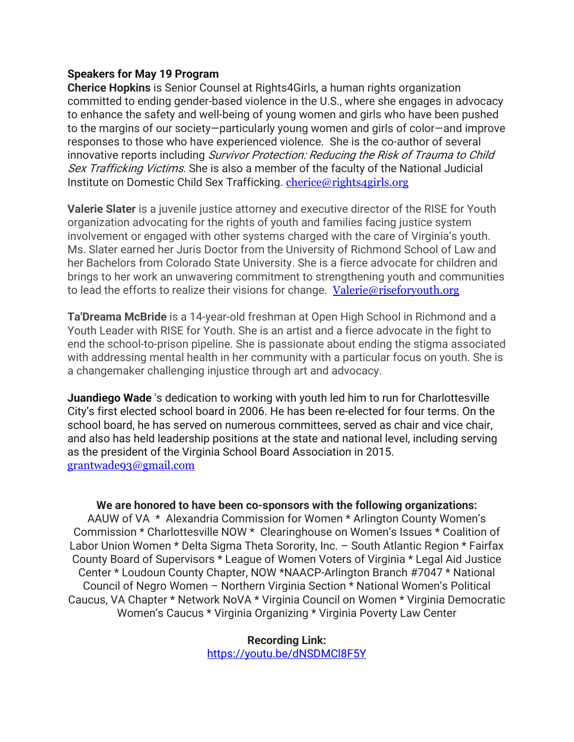#### **Speakers for May 19 Program**

**Cherice Hopkins** is Senior Counsel at Rights4Girls, a human rights organization committed to ending gender-based violence in the U.S., where she engages in advocacy to enhance the safety and well-being of young women and girls who have been pushed to the margins of our society—particularly young women and girls of color—and improve responses to those who have experienced violence. She is the co-author of several innovative reports including Survivor Protection: Reducing the Risk of Trauma to Child Sex Trafficking Victims. She is also a member of the faculty of the National Judicial Institute on Domestic Child Sex Trafficking. [cherice@rights4girls.org](mailto:cherice@rights4girls.org)

**Valerie Slater** is a juvenile justice attorney and executive director of the RISE for Youth organization advocating for the rights of youth and families facing justice system involvement or engaged with other systems charged with the care of Virginia's youth. Ms. Slater earned her Juris Doctor from the University of Richmond School of Law and her Bachelors from Colorado State University. She is a fierce advocate for children and brings to her work an unwavering commitment to strengthening youth and communities to lead the efforts to realize their visions for change. [Valerie@riseforyouth.org](mailto:Valerie@riseforyouth.org)

**Ta'Dreama McBride** is a 14-year-old freshman at Open High School in Richmond and a Youth Leader with RISE for Youth. She is an artist and a fierce advocate in the fight to end the school-to-prison pipeline. She is passionate about ending the stigma associated with addressing mental health in her community with a particular focus on youth. She is a changemaker challenging injustice through art and advocacy.

**Juandiego Wade** 's dedication to working with youth led him to run for Charlottesville City's first elected school board in 2006. He has been re-elected for four terms. On the school board, he has served on numerous committees, served as chair and vice chair, and also has held leadership positions at the state and national level, including serving as the president of the Virginia School Board Association in 2015. [grantwade93@gmail.com](mailto:grantwade93@gmail.com)

#### **We are honored to have been co-sponsors with the following organizations:**

AAUW of VA \* Alexandria Commission for Women \* Arlington County Women's Commission \* Charlottesville NOW \* Clearinghouse on Women's Issues \* Coalition of Labor Union Women \* Delta Sigma Theta Sorority, Inc. – South Atlantic Region \* Fairfax County Board of Supervisors \* League of Women Voters of Virginia \* Legal Aid Justice Center \* Loudoun County Chapter, NOW \*NAACP-Arlington Branch #7047 \* National Council of Negro Women – Northern Virginia Section \* National Women's Political Caucus, VA Chapter \* Network NoVA \* Virginia Council on Women \* Virginia Democratic Women's Caucus \* Virginia Organizing \* Virginia Poverty Law Center

> **Recording Link:** <https://youtu.be/dNSDMCl8F5Y>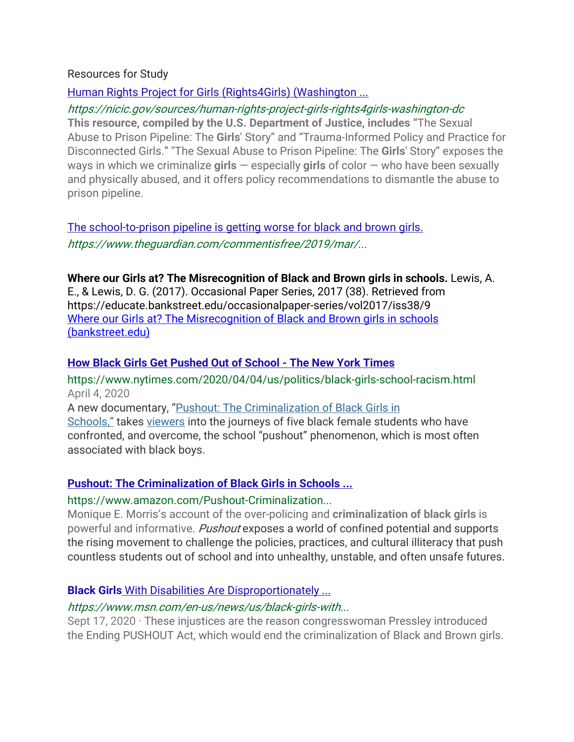### Resources for Study

## [Human Rights Project for Girls \(Rights4Girls\) \(Washington ...](https://nicic.gov/sources/human-rights-project-girls-rights4girls-washington-dc)

## https://nicic.gov/sources/human-rights-project-girls-rights4girls-washington-dc

**This resource, compiled by the U.S. Department of Justice, includes "**The Sexual Abuse to Prison Pipeline: The **Girls**' Story" and "Trauma-Informed Policy and Practice for Disconnected Girls." "The Sexual Abuse to Prison Pipeline: The **Girls**' Story" exposes the ways in which we criminalize **girls** — especially **girls** of color — who have been sexually and physically abused, and it offers policy recommendations to dismantle the abuse to prison pipeline.

[The school-to-prison pipeline is getting worse for black and brown girls.](https://www.theguardian.com/commentisfree/2019/mar/14/black-brown-girls-school-prison-crime-jaquira-diaz)  https://www.theguardian.com/commentisfree/2019/mar/...

## **Where our Girls at? The Misrecognition of Black and Brown girls in schools.** Lewis, A.

E., & Lewis, D. G. (2017). Occasional Paper Series, 2017 (38). Retrieved from https://educate.bankstreet.edu/occasionalpaper-series/vol2017/iss38/9 [Where our Girls at? The Misrecognition of Black and Brown girls in schools](https://educate.bankstreet.edu/cgi/viewcontent.cgi?article=1135&context=occasional-paper-series)  [\(bankstreet.edu\)](https://educate.bankstreet.edu/cgi/viewcontent.cgi?article=1135&context=occasional-paper-series)

## **[How Black Girls Get Pushed Out of School -](https://www.nytimes.com/2020/04/04/us/politics/black-girls-school-racism.html) The New York Times**

https://www.nytimes.com/2020/04/04/us/politics/black-girls-school-racism.html April 4, 2020

A new documentary, "Pushout: The [Criminalization](https://pushoutfilm.com/) of Black Girls in

[Schools,"](https://pushoutfilm.com/) takes [viewers](https://www.pbs.org/show/pushout-criminalization-black-girls-schools/) into the journeys of five black female students who have confronted, and overcome, the school "pushout" phenomenon, which is most often associated with black boys.

## **[Pushout: The Criminalization of Black Girls in Schools ...](https://www.amazon.com/Pushout-Criminalization-Black-Girls-Schools/dp/1620970945)**

## https://www.amazon.com/Pushout-Criminalization...

Monique E. Morris's account of the over-policing and **criminalization of black girls** is powerful and informative. Pushout exposes a world of confined potential and supports the rising movement to challenge the policies, practices, and cultural illiteracy that push countless students out of school and into unhealthy, unstable, and often unsafe futures.

## **Black Girls** [With Disabilities Are Disproportionately ...](https://www.msn.com/en-us/news/us/black-girls-with-disabilities-are-disproportionately-criminalized/ar-BB198BWO)

## https://www.msn.com/en-us/news/us/black-girls-with...

Sept 17, 2020  $\cdot$  These injustices are the reason congresswoman Pressley introduced the Ending PUSHOUT Act, which would end the criminalization of Black and Brown girls.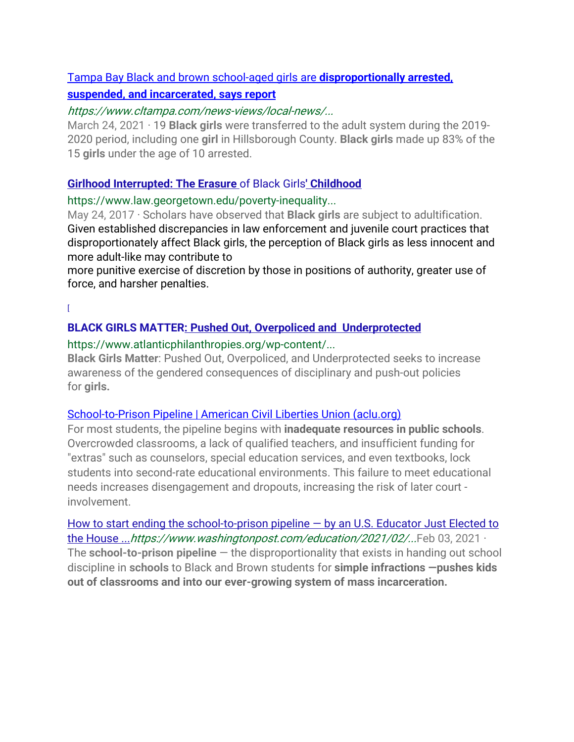## Tampa Bay Black and brown school-aged girls are **[disproportionally arrested,](https://www.cltampa.com/news-views/local-news/article/21150128/tampa-bay-black-and-brown-schoolaged-girls-are-disproportionally-arrested-suspended-and-incarcerated-says-report)**

## **[suspended, and incarcerated, says report](https://www.cltampa.com/news-views/local-news/article/21150128/tampa-bay-black-and-brown-schoolaged-girls-are-disproportionally-arrested-suspended-and-incarcerated-says-report)**

### https://www.cltampa.com/news-views/local-news/...

March 24, 2021 · 19 **Black girls** were transferred to the adult system during the 2019- 2020 period, including one **girl** in Hillsborough County. **Black girls** made up 83% of the 15 **girls** under the age of 10 arrested.

### **[Girlhood Interrupted: The Erasure](https://www.law.georgetown.edu/poverty-inequality-center/wp-content/uploads/sites/14/2017/08/girlhood-interrupted.pdf)** of Black Girls**' Childhood**

### https://www.law.georgetown.edu/poverty-inequality...

May 24, 2017 · Scholars have observed that **Black girls** are subject to adultification. Given established discrepancies in law enforcement and juvenile court practices that disproportionately affect Black girls, the perception of Black girls as less innocent and more adult-like may contribute to

more punitive exercise of discretion by those in positions of authority, greater use of force, and harsher penalties.

 $\mathbb{I}$ 

## **[BLACK GIRLS MATTER: Pushed Out, Overpoliced and Underprotected](https://www.atlanticphilanthropies.org/wp-content/uploads/2015/09/BlackGirlsMatter_Report.pdf)**

### https://www.atlanticphilanthropies.org/wp-content/...

**Black Girls Matter**: Pushed Out, Overpoliced, and Underprotected seeks to increase awareness of the gendered consequences of disciplinary and push-out policies for **girls.**

## [School-to-Prison Pipeline | American Civil Liberties Union \(aclu.org\)](https://www.aclu.org/issues/juvenile-justice/school-prison-pipeline)

For most students, the pipeline begins with **inadequate resources in public schools**. Overcrowded classrooms, a lack of qualified teachers, and insufficient funding for "extras" such as counselors, special education services, and even textbooks, lock students into second-rate educational environments. This failure to meet educational needs increases disengagement and dropouts, increasing the risk of later court involvement.

How to start ending the school-to-prison pipeline  $-$  by an U.S. Educator Just Elected to [the House ...](https://www.washingtonpost.com/education/2021/02/03/ending-school-to-prison-pipline/)https://www.washingtonpost.com/education/2021/02/...Feb 03, 2021 · The **school-to-prison pipeline** — the disproportionality that exists in handing out school discipline in **schools** to Black and Brown students for **simple infractions —pushes kids out of classrooms and into our ever-growing system of mass incarceration.**